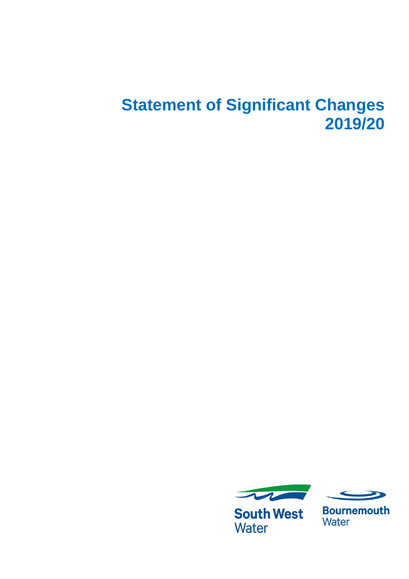## **Statement of Significant Changes 2019/20**



**South West Water** 



**Bournemouth** Water